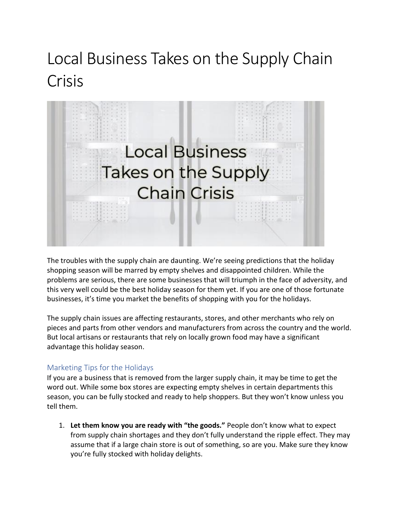## Local Business Takes on the Supply Chain Crisis



The troubles with the supply chain are daunting. We're seeing predictions that the holiday shopping season will be marred by empty shelves and disappointed children. While the problems are serious, there are some businesses that will triumph in the face of adversity, and this very well could be the best holiday season for them yet. If you are one of those fortunate businesses, it's time you market the benefits of shopping with you for the holidays.

The supply chain issues are affecting restaurants, stores, and other merchants who rely on pieces and parts from other vendors and manufacturers from across the country and the world. But local artisans or restaurants that rely on locally grown food may have a significant advantage this holiday season.

## Marketing Tips for the Holidays

If you are a business that is removed from the larger supply chain, it may be time to get the word out. While some box stores are expecting empty shelves in certain departments this season, you can be fully stocked and ready to help shoppers. But they won't know unless you tell them.

1. **Let them know you are ready with "the goods."** People don't know what to expect from supply chain shortages and they don't fully understand the ripple effect. They may assume that if a large chain store is out of something, so are you. Make sure they know you're fully stocked with holiday delights.